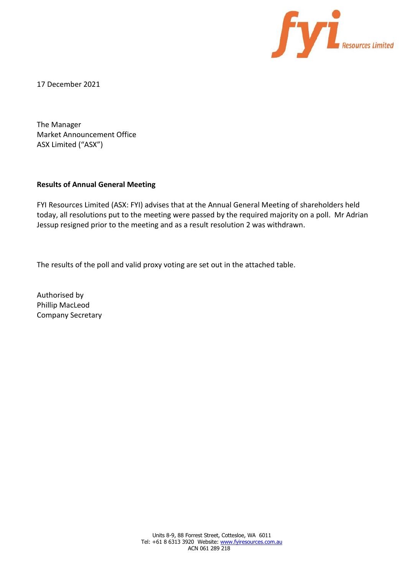

17 December 2021

The Manager Market Announcement Office ASX Limited ("ASX")

## **Results of Annual General Meeting**

FYI Resources Limited (ASX: FYI) advises that at the Annual General Meeting of shareholders held today, all resolutions put to the meeting were passed by the required majority on a poll. Mr Adrian Jessup resigned prior to the meeting and as a result resolution 2 was withdrawn.

The results of the poll and valid proxy voting are set out in the attached table.

Authorised by Phillip MacLeod Company Secretary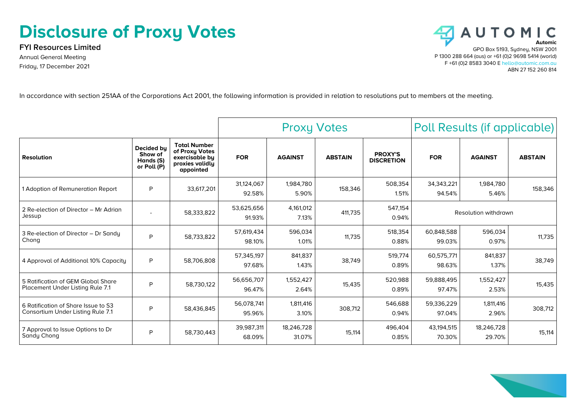## **Disclosure of Proxy Votes**

**FYI Resources Limited** Annual General Meeting Friday, 17 December 2021



In accordance with section 251AA of the Corporations Act 2001, the following information is provided in relation to resolutions put to members at the meeting.

|                                                                               |                                                   |                                                                                         | <b>Proxy Votes</b>   |                      |                | Poll Results (if applicable)        |                        |                      |                |
|-------------------------------------------------------------------------------|---------------------------------------------------|-----------------------------------------------------------------------------------------|----------------------|----------------------|----------------|-------------------------------------|------------------------|----------------------|----------------|
| <b>Resolution</b>                                                             | Decided by<br>Show of<br>Hands (S)<br>or Poll (P) | <b>Total Number</b><br>of Proxy Votes<br>exercisable by<br>proxies validly<br>appointed | <b>FOR</b>           | <b>AGAINST</b>       | <b>ABSTAIN</b> | <b>PROXY'S</b><br><b>DISCRETION</b> | <b>FOR</b>             | <b>AGAINST</b>       | <b>ABSTAIN</b> |
| 1 Adoption of Remuneration Report                                             | P                                                 | 33,617,201                                                                              | 31,124,067<br>92.58% | 1,984,780<br>5.90%   | 158,346        | 508,354<br>1.51%                    | 34, 343, 221<br>94.54% | 1,984,780<br>5.46%   | 158,346        |
| 2 Re-election of Director - Mr Adrian<br>Jessup                               | ۰                                                 | 58,333,822                                                                              | 53,625,656<br>91.93% | 4,161,012<br>7.13%   | 411,735        | 547,154<br>0.94%                    |                        | Resolution withdrawn |                |
| 3 Re-election of Director - Dr Sandy<br>Chong                                 | P                                                 | 58,733,822                                                                              | 57,619,434<br>98.10% | 596,034<br>1.01%     | 11.735         | 518,354<br>0.88%                    | 60.848.588<br>99.03%   | 596,034<br>0.97%     | 11,735         |
| 4 Approval of Additional 10% Capacity                                         | P                                                 | 58,706,808                                                                              | 57,345,197<br>97.68% | 841,837<br>1.43%     | 38,749         | 519,774<br>0.89%                    | 60,575,771<br>98.63%   | 841.837<br>1.37%     | 38,749         |
| 5 Ratification of GEM Global Share<br><b>Placement Under Listing Rule 7.1</b> | P                                                 | 58,730,122                                                                              | 56,656,707<br>96.47% | 1,552,427<br>2.64%   | 15,435         | 520.988<br>0.89%                    | 59,888,495<br>97.47%   | 1,552,427<br>2.53%   | 15,435         |
| 6 Ratification of Share Issue to S3<br>Consortium Under Listing Rule 7.1      | P                                                 | 58,436,845                                                                              | 56,078,741<br>95.96% | 1,811,416<br>3.10%   | 308,712        | 546,688<br>0.94%                    | 59,336,229<br>97.04%   | 1,811,416<br>2.96%   | 308,712        |
| 7 Approval to Issue Options to Dr<br>Sandy Chong                              | P                                                 | 58,730,443                                                                              | 39,987,311<br>68.09% | 18,246,728<br>31.07% | 15,114         | 496,404<br>0.85%                    | 43,194,515<br>70.30%   | 18,246,728<br>29.70% | 15,114         |